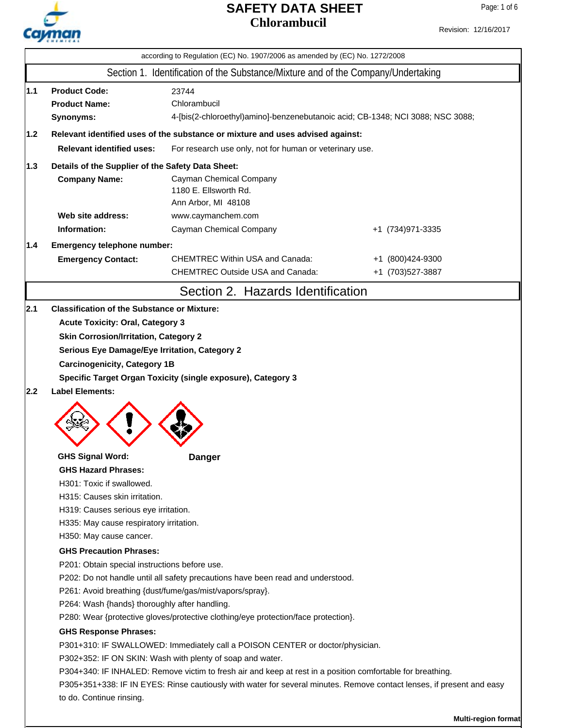

Page: 1 of 6

|     | CHEMICAL                                                                                                              | according to Regulation (EC) No. 1907/2006 as amended by (EC) No. 1272/2008    |                   |  |  |  |  |
|-----|-----------------------------------------------------------------------------------------------------------------------|--------------------------------------------------------------------------------|-------------------|--|--|--|--|
|     | Section 1. Identification of the Substance/Mixture and of the Company/Undertaking                                     |                                                                                |                   |  |  |  |  |
|     |                                                                                                                       |                                                                                |                   |  |  |  |  |
| 1.1 | <b>Product Code:</b>                                                                                                  | 23744                                                                          |                   |  |  |  |  |
|     | <b>Product Name:</b>                                                                                                  | Chlorambucil                                                                   |                   |  |  |  |  |
|     | Synonyms:                                                                                                             | 4-[bis(2-chloroethyl)amino]-benzenebutanoic acid; CB-1348; NCI 3088; NSC 3088; |                   |  |  |  |  |
| 1.2 | Relevant identified uses of the substance or mixture and uses advised against:                                        |                                                                                |                   |  |  |  |  |
|     | <b>Relevant identified uses:</b><br>For research use only, not for human or veterinary use.                           |                                                                                |                   |  |  |  |  |
| 1.3 | Details of the Supplier of the Safety Data Sheet:                                                                     |                                                                                |                   |  |  |  |  |
|     | <b>Company Name:</b><br>Cayman Chemical Company                                                                       |                                                                                |                   |  |  |  |  |
|     |                                                                                                                       | 1180 E. Ellsworth Rd.                                                          |                   |  |  |  |  |
|     |                                                                                                                       | Ann Arbor, MI 48108                                                            |                   |  |  |  |  |
|     | Web site address:                                                                                                     | www.caymanchem.com                                                             |                   |  |  |  |  |
|     | Information:                                                                                                          | Cayman Chemical Company                                                        | +1 (734) 971-3335 |  |  |  |  |
| 1.4 | Emergency telephone number:                                                                                           |                                                                                |                   |  |  |  |  |
|     | <b>Emergency Contact:</b>                                                                                             | <b>CHEMTREC Within USA and Canada:</b>                                         | +1 (800) 424-9300 |  |  |  |  |
|     |                                                                                                                       | <b>CHEMTREC Outside USA and Canada:</b>                                        | +1 (703) 527-3887 |  |  |  |  |
|     |                                                                                                                       | Section 2. Hazards Identification                                              |                   |  |  |  |  |
| 2.1 | <b>Classification of the Substance or Mixture:</b>                                                                    |                                                                                |                   |  |  |  |  |
|     | <b>Acute Toxicity: Oral, Category 3</b>                                                                               |                                                                                |                   |  |  |  |  |
|     | <b>Skin Corrosion/Irritation, Category 2</b>                                                                          |                                                                                |                   |  |  |  |  |
|     | Serious Eye Damage/Eye Irritation, Category 2                                                                         |                                                                                |                   |  |  |  |  |
|     | <b>Carcinogenicity, Category 1B</b>                                                                                   |                                                                                |                   |  |  |  |  |
|     | Specific Target Organ Toxicity (single exposure), Category 3                                                          |                                                                                |                   |  |  |  |  |
| 2.2 | <b>Label Elements:</b>                                                                                                |                                                                                |                   |  |  |  |  |
|     |                                                                                                                       |                                                                                |                   |  |  |  |  |
|     |                                                                                                                       |                                                                                |                   |  |  |  |  |
|     |                                                                                                                       |                                                                                |                   |  |  |  |  |
|     |                                                                                                                       |                                                                                |                   |  |  |  |  |
|     | <b>GHS Signal Word:</b>                                                                                               | <b>Danger</b>                                                                  |                   |  |  |  |  |
|     | <b>GHS Hazard Phrases:</b>                                                                                            |                                                                                |                   |  |  |  |  |
|     | H301: Toxic if swallowed.                                                                                             |                                                                                |                   |  |  |  |  |
|     | H315: Causes skin irritation.                                                                                         |                                                                                |                   |  |  |  |  |
|     | H319: Causes serious eye irritation.                                                                                  |                                                                                |                   |  |  |  |  |
|     | H335: May cause respiratory irritation.                                                                               |                                                                                |                   |  |  |  |  |
|     | H350: May cause cancer.                                                                                               |                                                                                |                   |  |  |  |  |
|     | <b>GHS Precaution Phrases:</b>                                                                                        |                                                                                |                   |  |  |  |  |
|     | P201: Obtain special instructions before use.                                                                         |                                                                                |                   |  |  |  |  |
|     | P202: Do not handle until all safety precautions have been read and understood.                                       |                                                                                |                   |  |  |  |  |
|     | P261: Avoid breathing {dust/fume/gas/mist/vapors/spray}.                                                              |                                                                                |                   |  |  |  |  |
|     | P264: Wash {hands} thoroughly after handling.                                                                         |                                                                                |                   |  |  |  |  |
|     | P280: Wear {protective gloves/protective clothing/eye protection/face protection}.                                    |                                                                                |                   |  |  |  |  |
|     | <b>GHS Response Phrases:</b>                                                                                          |                                                                                |                   |  |  |  |  |
|     |                                                                                                                       | P301+310: IF SWALLOWED: Immediately call a POISON CENTER or doctor/physician.  |                   |  |  |  |  |
|     | P302+352: IF ON SKIN: Wash with plenty of soap and water.                                                             |                                                                                |                   |  |  |  |  |
|     | P304+340: IF INHALED: Remove victim to fresh air and keep at rest in a position comfortable for breathing.            |                                                                                |                   |  |  |  |  |
|     | P305+351+338: IF IN EYES: Rinse cautiously with water for several minutes. Remove contact lenses, if present and easy |                                                                                |                   |  |  |  |  |
|     | to do. Continue rinsing.                                                                                              |                                                                                |                   |  |  |  |  |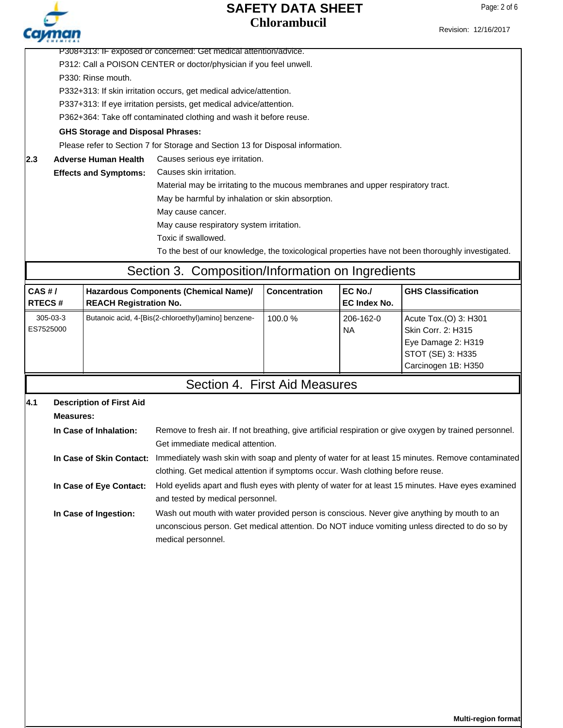Page: 2 of 6

| CHEMICAL                                                           |                                                                  |                                          |                                                                                                                           |                                                                     |                     |                                                                                                   |  |  |  |
|--------------------------------------------------------------------|------------------------------------------------------------------|------------------------------------------|---------------------------------------------------------------------------------------------------------------------------|---------------------------------------------------------------------|---------------------|---------------------------------------------------------------------------------------------------|--|--|--|
|                                                                    | P308+313: IF exposed or concerned: Get medical attention/advice. |                                          |                                                                                                                           |                                                                     |                     |                                                                                                   |  |  |  |
|                                                                    |                                                                  |                                          | P312: Call a POISON CENTER or doctor/physician if you feel unwell.                                                        |                                                                     |                     |                                                                                                   |  |  |  |
|                                                                    |                                                                  | P330: Rinse mouth.                       |                                                                                                                           |                                                                     |                     |                                                                                                   |  |  |  |
| P332+313: If skin irritation occurs, get medical advice/attention. |                                                                  |                                          |                                                                                                                           |                                                                     |                     |                                                                                                   |  |  |  |
|                                                                    |                                                                  |                                          |                                                                                                                           | P337+313: If eye irritation persists, get medical advice/attention. |                     |                                                                                                   |  |  |  |
|                                                                    |                                                                  |                                          | P362+364: Take off contaminated clothing and wash it before reuse.                                                        |                                                                     |                     |                                                                                                   |  |  |  |
|                                                                    |                                                                  | <b>GHS Storage and Disposal Phrases:</b> |                                                                                                                           |                                                                     |                     |                                                                                                   |  |  |  |
|                                                                    |                                                                  |                                          | Please refer to Section 7 for Storage and Section 13 for Disposal information.                                            |                                                                     |                     |                                                                                                   |  |  |  |
| 2.3                                                                |                                                                  | <b>Adverse Human Health</b>              | Causes serious eye irritation.                                                                                            |                                                                     |                     |                                                                                                   |  |  |  |
|                                                                    |                                                                  | <b>Effects and Symptoms:</b>             | Causes skin irritation.                                                                                                   |                                                                     |                     |                                                                                                   |  |  |  |
|                                                                    |                                                                  |                                          | Material may be irritating to the mucous membranes and upper respiratory tract.                                           |                                                                     |                     |                                                                                                   |  |  |  |
|                                                                    |                                                                  |                                          | May be harmful by inhalation or skin absorption.                                                                          |                                                                     |                     |                                                                                                   |  |  |  |
|                                                                    |                                                                  |                                          | May cause cancer.                                                                                                         |                                                                     |                     |                                                                                                   |  |  |  |
|                                                                    |                                                                  |                                          | May cause respiratory system irritation.                                                                                  |                                                                     |                     |                                                                                                   |  |  |  |
|                                                                    |                                                                  |                                          | Toxic if swallowed.                                                                                                       |                                                                     |                     |                                                                                                   |  |  |  |
|                                                                    |                                                                  |                                          |                                                                                                                           |                                                                     |                     | To the best of our knowledge, the toxicological properties have not been thoroughly investigated. |  |  |  |
|                                                                    |                                                                  |                                          | Section 3. Composition/Information on Ingredients                                                                         |                                                                     |                     |                                                                                                   |  |  |  |
|                                                                    |                                                                  |                                          |                                                                                                                           | <b>Concentration</b>                                                | EC No./             | <b>GHS Classification</b>                                                                         |  |  |  |
| $CAS$ #/<br><b>RTECS#</b>                                          |                                                                  | <b>REACH Registration No.</b>            | Hazardous Components (Chemical Name)/                                                                                     |                                                                     | <b>EC Index No.</b> |                                                                                                   |  |  |  |
|                                                                    | 305-03-3                                                         |                                          | Butanoic acid, 4-[Bis(2-chloroethyl)amino] benzene-                                                                       | 100.0%                                                              | 206-162-0           | Acute Tox.(O) 3: H301                                                                             |  |  |  |
| ES7525000                                                          |                                                                  |                                          |                                                                                                                           |                                                                     | <b>NA</b>           | Skin Corr. 2: H315                                                                                |  |  |  |
|                                                                    |                                                                  |                                          |                                                                                                                           |                                                                     |                     | Eye Damage 2: H319                                                                                |  |  |  |
|                                                                    |                                                                  |                                          |                                                                                                                           |                                                                     |                     | STOT (SE) 3: H335                                                                                 |  |  |  |
|                                                                    |                                                                  |                                          |                                                                                                                           |                                                                     |                     | Carcinogen 1B: H350                                                                               |  |  |  |
|                                                                    |                                                                  |                                          | Section 4. First Aid Measures                                                                                             |                                                                     |                     |                                                                                                   |  |  |  |
| 4.1                                                                |                                                                  | <b>Description of First Aid</b>          |                                                                                                                           |                                                                     |                     |                                                                                                   |  |  |  |
|                                                                    | <b>Measures:</b>                                                 |                                          |                                                                                                                           |                                                                     |                     |                                                                                                   |  |  |  |
|                                                                    |                                                                  | In Case of Inhalation:                   | Remove to fresh air. If not breathing, give artificial respiration or give oxygen by trained personnel.                   |                                                                     |                     |                                                                                                   |  |  |  |
|                                                                    |                                                                  |                                          | Get immediate medical attention.                                                                                          |                                                                     |                     |                                                                                                   |  |  |  |
|                                                                    |                                                                  |                                          | In Case of Skin Contact: Immediately wash skin with soap and plenty of water for at least 15 minutes. Remove contaminated |                                                                     |                     |                                                                                                   |  |  |  |
|                                                                    |                                                                  |                                          | clothing. Get medical attention if symptoms occur. Wash clothing before reuse.                                            |                                                                     |                     |                                                                                                   |  |  |  |
|                                                                    |                                                                  | In Case of Eye Contact:                  | Hold eyelids apart and flush eyes with plenty of water for at least 15 minutes. Have eyes examined                        |                                                                     |                     |                                                                                                   |  |  |  |
|                                                                    |                                                                  |                                          | and tested by medical personnel.                                                                                          |                                                                     |                     |                                                                                                   |  |  |  |
| In Case of Ingestion:                                              |                                                                  |                                          | Wash out mouth with water provided person is conscious. Never give anything by mouth to an                                |                                                                     |                     |                                                                                                   |  |  |  |
|                                                                    |                                                                  |                                          | unconscious person. Get medical attention. Do NOT induce vomiting unless directed to do so by                             |                                                                     |                     |                                                                                                   |  |  |  |
|                                                                    |                                                                  |                                          |                                                                                                                           |                                                                     |                     |                                                                                                   |  |  |  |
|                                                                    |                                                                  |                                          | medical personnel.                                                                                                        |                                                                     |                     |                                                                                                   |  |  |  |
|                                                                    |                                                                  |                                          |                                                                                                                           |                                                                     |                     |                                                                                                   |  |  |  |
|                                                                    |                                                                  |                                          |                                                                                                                           |                                                                     |                     |                                                                                                   |  |  |  |
|                                                                    |                                                                  |                                          |                                                                                                                           |                                                                     |                     |                                                                                                   |  |  |  |
|                                                                    |                                                                  |                                          |                                                                                                                           |                                                                     |                     |                                                                                                   |  |  |  |
|                                                                    |                                                                  |                                          |                                                                                                                           |                                                                     |                     |                                                                                                   |  |  |  |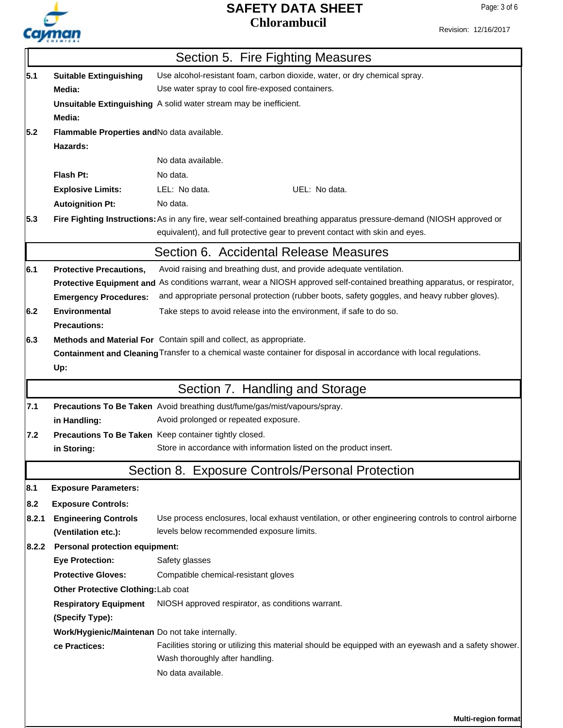

**Multi-region format**

Revision: 12/16/2017

|                                                            | Section 5. Fire Fighting Measures                                                                          |                                                                                                                                                                                                        |  |  |  |  |
|------------------------------------------------------------|------------------------------------------------------------------------------------------------------------|--------------------------------------------------------------------------------------------------------------------------------------------------------------------------------------------------------|--|--|--|--|
| 5.1                                                        | Use alcohol-resistant foam, carbon dioxide, water, or dry chemical spray.<br><b>Suitable Extinguishing</b> |                                                                                                                                                                                                        |  |  |  |  |
| Use water spray to cool fire-exposed containers.<br>Media: |                                                                                                            |                                                                                                                                                                                                        |  |  |  |  |
|                                                            |                                                                                                            | Unsuitable Extinguishing A solid water stream may be inefficient.                                                                                                                                      |  |  |  |  |
|                                                            | Media:                                                                                                     |                                                                                                                                                                                                        |  |  |  |  |
| 5.2<br>Flammable Properties and No data available.         |                                                                                                            |                                                                                                                                                                                                        |  |  |  |  |
|                                                            | Hazards:                                                                                                   |                                                                                                                                                                                                        |  |  |  |  |
|                                                            |                                                                                                            | No data available.                                                                                                                                                                                     |  |  |  |  |
|                                                            | Flash Pt:                                                                                                  | No data.                                                                                                                                                                                               |  |  |  |  |
|                                                            | <b>Explosive Limits:</b>                                                                                   | LEL: No data.<br>UEL: No data.                                                                                                                                                                         |  |  |  |  |
|                                                            | <b>Autoignition Pt:</b>                                                                                    | No data.                                                                                                                                                                                               |  |  |  |  |
| 5.3                                                        |                                                                                                            | Fire Fighting Instructions: As in any fire, wear self-contained breathing apparatus pressure-demand (NIOSH approved or<br>equivalent), and full protective gear to prevent contact with skin and eyes. |  |  |  |  |
|                                                            |                                                                                                            | Section 6. Accidental Release Measures                                                                                                                                                                 |  |  |  |  |
| 6.1                                                        | <b>Protective Precautions,</b>                                                                             | Avoid raising and breathing dust, and provide adequate ventilation.                                                                                                                                    |  |  |  |  |
|                                                            |                                                                                                            | Protective Equipment and As conditions warrant, wear a NIOSH approved self-contained breathing apparatus, or respirator,                                                                               |  |  |  |  |
|                                                            | <b>Emergency Procedures:</b>                                                                               | and appropriate personal protection (rubber boots, safety goggles, and heavy rubber gloves).                                                                                                           |  |  |  |  |
| 6.2                                                        | <b>Environmental</b>                                                                                       | Take steps to avoid release into the environment, if safe to do so.                                                                                                                                    |  |  |  |  |
|                                                            | <b>Precautions:</b>                                                                                        |                                                                                                                                                                                                        |  |  |  |  |
| 6.3                                                        |                                                                                                            | Methods and Material For Contain spill and collect, as appropriate.                                                                                                                                    |  |  |  |  |
|                                                            |                                                                                                            | Containment and Cleaning Transfer to a chemical waste container for disposal in accordance with local regulations.                                                                                     |  |  |  |  |
|                                                            | Up:                                                                                                        |                                                                                                                                                                                                        |  |  |  |  |
|                                                            | Section 7. Handling and Storage                                                                            |                                                                                                                                                                                                        |  |  |  |  |
|                                                            |                                                                                                            |                                                                                                                                                                                                        |  |  |  |  |
| 7.1                                                        |                                                                                                            | Precautions To Be Taken Avoid breathing dust/fume/gas/mist/vapours/spray.                                                                                                                              |  |  |  |  |
|                                                            | in Handling:                                                                                               | Avoid prolonged or repeated exposure.                                                                                                                                                                  |  |  |  |  |
| 7.2                                                        |                                                                                                            | Precautions To Be Taken Keep container tightly closed.                                                                                                                                                 |  |  |  |  |
|                                                            | in Storing:                                                                                                | Store in accordance with information listed on the product insert.                                                                                                                                     |  |  |  |  |
|                                                            |                                                                                                            | Section 8. Exposure Controls/Personal Protection                                                                                                                                                       |  |  |  |  |
| 8.1                                                        | <b>Exposure Parameters:</b>                                                                                |                                                                                                                                                                                                        |  |  |  |  |
| 8.2                                                        | <b>Exposure Controls:</b>                                                                                  |                                                                                                                                                                                                        |  |  |  |  |
| 8.2.1                                                      | <b>Engineering Controls</b>                                                                                | Use process enclosures, local exhaust ventilation, or other engineering controls to control airborne                                                                                                   |  |  |  |  |
|                                                            | (Ventilation etc.):                                                                                        | levels below recommended exposure limits.                                                                                                                                                              |  |  |  |  |
| 8.2.2                                                      | <b>Personal protection equipment:</b>                                                                      |                                                                                                                                                                                                        |  |  |  |  |
|                                                            | <b>Eye Protection:</b>                                                                                     | Safety glasses                                                                                                                                                                                         |  |  |  |  |
|                                                            | <b>Protective Gloves:</b>                                                                                  | Compatible chemical-resistant gloves                                                                                                                                                                   |  |  |  |  |
|                                                            | Other Protective Clothing: Lab coat                                                                        |                                                                                                                                                                                                        |  |  |  |  |
|                                                            | <b>Respiratory Equipment</b>                                                                               | NIOSH approved respirator, as conditions warrant.                                                                                                                                                      |  |  |  |  |
|                                                            | (Specify Type):                                                                                            |                                                                                                                                                                                                        |  |  |  |  |
|                                                            | Work/Hygienic/Maintenan Do not take internally.                                                            |                                                                                                                                                                                                        |  |  |  |  |
|                                                            | ce Practices:                                                                                              | Facilities storing or utilizing this material should be equipped with an eyewash and a safety shower.<br>Wash thoroughly after handling.                                                               |  |  |  |  |
|                                                            |                                                                                                            | No data available.                                                                                                                                                                                     |  |  |  |  |
|                                                            |                                                                                                            |                                                                                                                                                                                                        |  |  |  |  |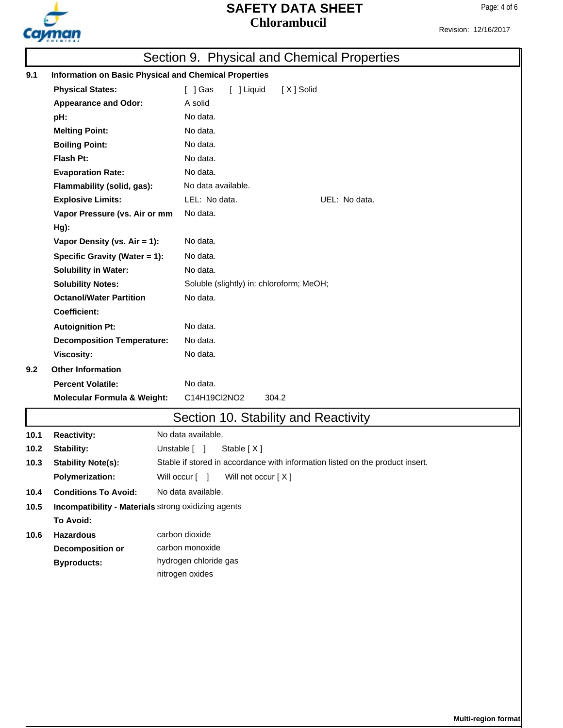

Revision: 12/16/2017

|      | Section 9. Physical and Chemical Properties                  |                                                                               |  |  |  |  |
|------|--------------------------------------------------------------|-------------------------------------------------------------------------------|--|--|--|--|
| 9.1  | <b>Information on Basic Physical and Chemical Properties</b> |                                                                               |  |  |  |  |
|      | <b>Physical States:</b>                                      | $\lceil$ $\rfloor$ Gas<br>[ ] Liquid<br>[X] Solid                             |  |  |  |  |
|      | <b>Appearance and Odor:</b>                                  | A solid                                                                       |  |  |  |  |
|      | pH:                                                          | No data.                                                                      |  |  |  |  |
|      | <b>Melting Point:</b>                                        | No data.                                                                      |  |  |  |  |
|      | <b>Boiling Point:</b>                                        | No data.                                                                      |  |  |  |  |
|      | Flash Pt:                                                    | No data.                                                                      |  |  |  |  |
|      | <b>Evaporation Rate:</b>                                     | No data.                                                                      |  |  |  |  |
|      | Flammability (solid, gas):                                   | No data available.                                                            |  |  |  |  |
|      | <b>Explosive Limits:</b>                                     | LEL: No data.<br>UEL: No data.                                                |  |  |  |  |
|      | Vapor Pressure (vs. Air or mm                                | No data.                                                                      |  |  |  |  |
|      | Hg):                                                         |                                                                               |  |  |  |  |
|      | Vapor Density (vs. Air = 1):                                 | No data.                                                                      |  |  |  |  |
|      | Specific Gravity (Water = 1):                                | No data.                                                                      |  |  |  |  |
|      | <b>Solubility in Water:</b>                                  | No data.                                                                      |  |  |  |  |
|      | <b>Solubility Notes:</b>                                     | Soluble (slightly) in: chloroform; MeOH;                                      |  |  |  |  |
|      | <b>Octanol/Water Partition</b>                               | No data.                                                                      |  |  |  |  |
|      | <b>Coefficient:</b>                                          |                                                                               |  |  |  |  |
|      | <b>Autoignition Pt:</b>                                      | No data.                                                                      |  |  |  |  |
|      | <b>Decomposition Temperature:</b>                            | No data.                                                                      |  |  |  |  |
|      | <b>Viscosity:</b>                                            | No data.                                                                      |  |  |  |  |
| 19.2 | <b>Other Information</b>                                     |                                                                               |  |  |  |  |
|      | <b>Percent Volatile:</b><br>No data.                         |                                                                               |  |  |  |  |
|      | <b>Molecular Formula &amp; Weight:</b>                       | C14H19Cl2NO2<br>304.2                                                         |  |  |  |  |
|      |                                                              | Section 10. Stability and Reactivity                                          |  |  |  |  |
| 10.1 | <b>Reactivity:</b>                                           | No data available.                                                            |  |  |  |  |
| 10.2 | <b>Stability:</b>                                            | Stable [X]<br>Unstable [ ]                                                    |  |  |  |  |
| 10.3 | <b>Stability Note(s):</b>                                    | Stable if stored in accordance with information listed on the product insert. |  |  |  |  |
|      | <b>Polymerization:</b>                                       | Will occur [ ]<br>Will not occur [X]                                          |  |  |  |  |
| 10.4 | <b>Conditions To Avoid:</b>                                  | No data available.                                                            |  |  |  |  |
| 10.5 | Incompatibility - Materials strong oxidizing agents          |                                                                               |  |  |  |  |
|      | To Avoid:                                                    |                                                                               |  |  |  |  |
| 10.6 | <b>Hazardous</b>                                             | carbon dioxide                                                                |  |  |  |  |
|      | <b>Decomposition or</b>                                      | carbon monoxide                                                               |  |  |  |  |
|      | <b>Byproducts:</b>                                           | hydrogen chloride gas                                                         |  |  |  |  |
|      |                                                              | nitrogen oxides                                                               |  |  |  |  |
|      |                                                              |                                                                               |  |  |  |  |
|      |                                                              |                                                                               |  |  |  |  |
|      |                                                              |                                                                               |  |  |  |  |
|      |                                                              |                                                                               |  |  |  |  |
|      |                                                              |                                                                               |  |  |  |  |
|      |                                                              |                                                                               |  |  |  |  |
|      |                                                              |                                                                               |  |  |  |  |
|      |                                                              |                                                                               |  |  |  |  |
|      |                                                              |                                                                               |  |  |  |  |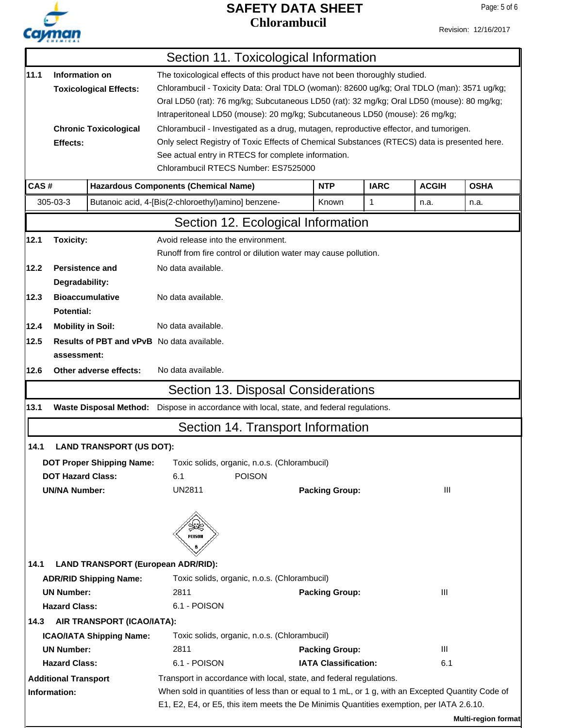

Revision: 12/16/2017

|      |                             |                                                                                               |                                                                                                  | Section 11. Toxicological Information                                                      |                                                                              |              |             |                            |  |
|------|-----------------------------|-----------------------------------------------------------------------------------------------|--------------------------------------------------------------------------------------------------|--------------------------------------------------------------------------------------------|------------------------------------------------------------------------------|--------------|-------------|----------------------------|--|
| 11.1 |                             | Information on<br>The toxicological effects of this product have not been thoroughly studied. |                                                                                                  |                                                                                            |                                                                              |              |             |                            |  |
|      |                             | <b>Toxicological Effects:</b>                                                                 | Chlorambucil - Toxicity Data: Oral TDLO (woman): 82600 ug/kg; Oral TDLO (man): 3571 ug/kg;       |                                                                                            |                                                                              |              |             |                            |  |
|      |                             |                                                                                               |                                                                                                  | Oral LD50 (rat): 76 mg/kg; Subcutaneous LD50 (rat): 32 mg/kg; Oral LD50 (mouse): 80 mg/kg; |                                                                              |              |             |                            |  |
|      |                             |                                                                                               |                                                                                                  |                                                                                            | Intraperitoneal LD50 (mouse): 20 mg/kg; Subcutaneous LD50 (mouse): 26 mg/kg; |              |             |                            |  |
|      |                             | <b>Chronic Toxicological</b>                                                                  |                                                                                                  | Chlorambucil - Investigated as a drug, mutagen, reproductive effector, and tumorigen.      |                                                                              |              |             |                            |  |
|      | Effects:                    |                                                                                               | Only select Registry of Toxic Effects of Chemical Substances (RTECS) data is presented here.     |                                                                                            |                                                                              |              |             |                            |  |
|      |                             |                                                                                               |                                                                                                  | See actual entry in RTECS for complete information.                                        |                                                                              |              |             |                            |  |
|      |                             |                                                                                               |                                                                                                  | Chlorambucil RTECS Number: ES7525000                                                       |                                                                              |              |             |                            |  |
| CAS# |                             | <b>Hazardous Components (Chemical Name)</b>                                                   |                                                                                                  | <b>NTP</b>                                                                                 | <b>IARC</b>                                                                  | <b>ACGIH</b> | <b>OSHA</b> |                            |  |
|      | 305-03-3                    |                                                                                               | Butanoic acid, 4-[Bis(2-chloroethyl)amino] benzene-                                              |                                                                                            | Known                                                                        | 1            | n.a.        | n.a.                       |  |
|      |                             |                                                                                               |                                                                                                  | Section 12. Ecological Information                                                         |                                                                              |              |             |                            |  |
| 12.1 | <b>Toxicity:</b>            |                                                                                               | Avoid release into the environment.                                                              |                                                                                            |                                                                              |              |             |                            |  |
|      |                             |                                                                                               | Runoff from fire control or dilution water may cause pollution.                                  |                                                                                            |                                                                              |              |             |                            |  |
| 12.2 | Persistence and             |                                                                                               | No data available.                                                                               |                                                                                            |                                                                              |              |             |                            |  |
|      | Degradability:              |                                                                                               |                                                                                                  |                                                                                            |                                                                              |              |             |                            |  |
| 12.3 |                             | <b>Bioaccumulative</b>                                                                        | No data available.                                                                               |                                                                                            |                                                                              |              |             |                            |  |
|      | <b>Potential:</b>           |                                                                                               |                                                                                                  |                                                                                            |                                                                              |              |             |                            |  |
| 12.4 | <b>Mobility in Soil:</b>    |                                                                                               | No data available.                                                                               |                                                                                            |                                                                              |              |             |                            |  |
| 12.5 |                             |                                                                                               | <b>Results of PBT and vPvB</b> No data available.                                                |                                                                                            |                                                                              |              |             |                            |  |
|      | assessment:                 |                                                                                               |                                                                                                  |                                                                                            |                                                                              |              |             |                            |  |
| 12.6 |                             | Other adverse effects:                                                                        | No data available.                                                                               |                                                                                            |                                                                              |              |             |                            |  |
|      |                             |                                                                                               |                                                                                                  | Section 13. Disposal Considerations                                                        |                                                                              |              |             |                            |  |
| 13.1 |                             | <b>Waste Disposal Method:</b>                                                                 |                                                                                                  | Dispose in accordance with local, state, and federal regulations.                          |                                                                              |              |             |                            |  |
|      |                             |                                                                                               |                                                                                                  | Section 14. Transport Information                                                          |                                                                              |              |             |                            |  |
| 14.1 |                             | <b>LAND TRANSPORT (US DOT):</b>                                                               |                                                                                                  |                                                                                            |                                                                              |              |             |                            |  |
|      |                             | <b>DOT Proper Shipping Name:</b>                                                              |                                                                                                  | Toxic solids, organic, n.o.s. (Chlorambucil)                                               |                                                                              |              |             |                            |  |
|      | <b>DOT Hazard Class:</b>    |                                                                                               | 6.1                                                                                              | <b>POISON</b>                                                                              |                                                                              |              |             |                            |  |
|      | <b>UN/NA Number:</b>        |                                                                                               | <b>UN2811</b>                                                                                    |                                                                                            | <b>Packing Group:</b>                                                        |              | Ш           |                            |  |
|      |                             |                                                                                               |                                                                                                  |                                                                                            |                                                                              |              |             |                            |  |
|      |                             |                                                                                               | ي<br>پيو                                                                                         |                                                                                            |                                                                              |              |             |                            |  |
|      |                             |                                                                                               | POISON                                                                                           |                                                                                            |                                                                              |              |             |                            |  |
|      |                             |                                                                                               | 6                                                                                                |                                                                                            |                                                                              |              |             |                            |  |
| 14.1 |                             | <b>LAND TRANSPORT (European ADR/RID):</b>                                                     |                                                                                                  |                                                                                            |                                                                              |              |             |                            |  |
|      |                             | <b>ADR/RID Shipping Name:</b>                                                                 |                                                                                                  | Toxic solids, organic, n.o.s. (Chlorambucil)                                               |                                                                              |              |             |                            |  |
|      | <b>UN Number:</b>           |                                                                                               | 2811                                                                                             |                                                                                            | <b>Packing Group:</b>                                                        |              | III         |                            |  |
|      | <b>Hazard Class:</b>        |                                                                                               | 6.1 - POISON                                                                                     |                                                                                            |                                                                              |              |             |                            |  |
| 14.3 |                             | AIR TRANSPORT (ICAO/IATA):                                                                    |                                                                                                  |                                                                                            |                                                                              |              |             |                            |  |
|      |                             | <b>ICAO/IATA Shipping Name:</b>                                                               |                                                                                                  | Toxic solids, organic, n.o.s. (Chlorambucil)                                               |                                                                              |              |             |                            |  |
|      | <b>UN Number:</b>           |                                                                                               | 2811                                                                                             |                                                                                            | <b>Packing Group:</b>                                                        |              | III         |                            |  |
|      | <b>Hazard Class:</b>        |                                                                                               | 6.1 - POISON                                                                                     |                                                                                            | <b>IATA Classification:</b>                                                  |              | 6.1         |                            |  |
|      | <b>Additional Transport</b> |                                                                                               |                                                                                                  | Transport in accordance with local, state, and federal regulations.                        |                                                                              |              |             |                            |  |
|      | Information:                |                                                                                               | When sold in quantities of less than or equal to 1 mL, or 1 g, with an Excepted Quantity Code of |                                                                                            |                                                                              |              |             |                            |  |
|      |                             |                                                                                               |                                                                                                  | E1, E2, E4, or E5, this item meets the De Minimis Quantities exemption, per IATA 2.6.10.   |                                                                              |              |             |                            |  |
|      |                             |                                                                                               |                                                                                                  |                                                                                            |                                                                              |              |             | <b>Multi-region format</b> |  |